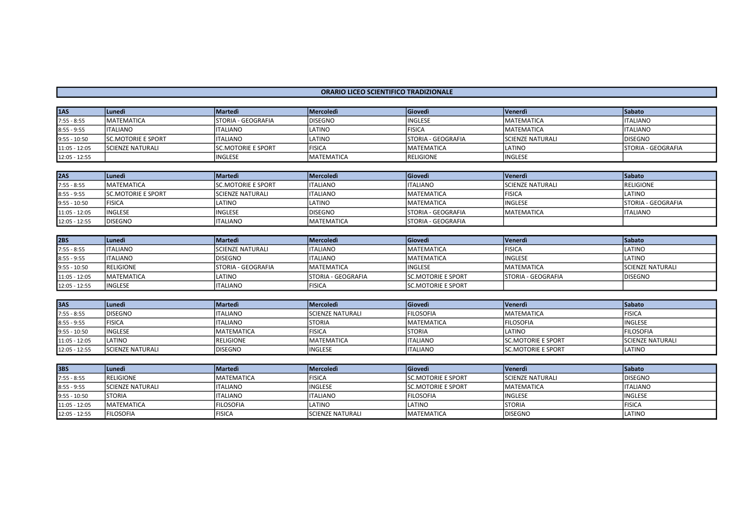## ORARIO LICEO SCIENTIFICO TRADIZIONALE

| <b>1AS</b>     | <b>ILunedì</b>             | <b>Martedi</b>             | <i><b>IMercoledì</b></i> | Giovedì             | <b>Venerdì</b>          | <b>Sabato</b>       |
|----------------|----------------------------|----------------------------|--------------------------|---------------------|-------------------------|---------------------|
| $7:55 - 8:55$  | <b>IMATEMATICA</b>         | ISTORIA - GEOGRAFIA        | <b>IDISEGNO</b>          | <b>INGLESE</b>      | <b>MATEMATICA</b>       | <b>ITALIANO</b>     |
| $8:55 - 9:55$  | <b>ITALIANO</b>            | <b>ITALIANO</b>            | ILATINO                  | <b>FISICA</b>       | <b>MATEMATICA</b>       | <b>ITALIANO</b>     |
| $9:55 - 10:50$ | <b>ISC.MOTORIE E SPORT</b> | <b>ITALIANO</b>            | ILATINO                  | ISTORIA - GEOGRAFIA | <b>SCIENZE NATURALI</b> | <b>IDISEGNO</b>     |
| 11:05 - 12:05  | <b>ISCIENZE NATURALI</b>   | <b>ISC.MOTORIE E SPORT</b> | <b>IFISICA</b>           | <b>MATEMATICA</b>   | LATINO                  | ISTORIA - GEOGRAFIA |
| 12:05 - 12:55  |                            | 'INGLESE                   | <b>IMATEMATICA</b>       | <b>RELIGIONE</b>    | <b>INGLESE</b>          |                     |

| <b>2AS</b>     | <b>Lunedì</b>              | Martedì                    | <b>IMercoledì</b>  | Giovedì                    | <b>Venerdì</b>          | <b>Sabato</b>       |
|----------------|----------------------------|----------------------------|--------------------|----------------------------|-------------------------|---------------------|
| $7:55 - 8:55$  | <b>IMATEMATICA</b>         | <b>ISC.MOTORIE E SPORT</b> | <b>ITALIANO</b>    | <b>ITALIANO</b>            | <b>SCIENZE NATURALI</b> | <b>IRELIGIONE</b>   |
| $8:55 - 9:55$  | <b>ISC.MOTORIE E SPORT</b> | <b>ISCIENZE NATURALI</b>   | <b>I</b> ITALIANO  | <b>MATEMATICA</b>          | <b>FISICA</b>           | LATINO              |
| $9:55 - 10:50$ | <b>IFISICA</b>             | LATINO                     | LATINO             | <b>MATEMATICA</b>          | <b>INGLESE</b>          | ISTORIA - GEOGRAFIA |
| 11:05 - 12:05  | <b>IINGLESE</b>            | <b>INGLESE</b>             | <b>IDISEGNO</b>    | <b>ISTORIA - GEOGRAFIA</b> | <b>MATEMATICA</b>       | <b>ITALIANO</b>     |
| 12:05 - 12:55  | <b>DISEGNO</b>             | <b>ITALIANO</b>            | <b>IMATEMATICA</b> | <b>STORIA - GEOGRAFIA</b>  |                         |                     |

| 2BS            | iLunedì            | <b>Martedì</b>             | <i><b>Mercoledi</b></i>    | <b>Giovedì</b>             | <b>Venerdì</b>            | Sabato                   |
|----------------|--------------------|----------------------------|----------------------------|----------------------------|---------------------------|--------------------------|
| $7:55 - 8:55$  | <b>ITALIANO</b>    | <b>ISCIENZE NATURALI</b>   | <b>ITALIANO</b>            | <b>MATEMATICA</b>          | <b>FISICA</b>             | <b>ILATINO</b>           |
| $8:55 - 9:55$  | <b>ITALIANO</b>    | <b>DISEGNO</b>             | <b>ITALIANO</b>            | <b>MATEMATICA</b>          | <b>INGLESE</b>            | <b>ILATINO</b>           |
| $9:55 - 10:50$ | <b>IRELIGIONE</b>  | <b>ISTORIA - GEOGRAFIA</b> | <b>IMATEMATICA</b>         | <b>INGLESE</b>             | <b>MATEMATICA</b>         | <b>ISCIENZE NATURALI</b> |
| 11:05 - 12:05  | <b>IMATEMATICA</b> | LATINO                     | <b>ISTORIA - GEOGRAFIA</b> | <b>ISC.MOTORIE E SPORT</b> | <b>STORIA - GEOGRAFIA</b> | <b>IDISEGNO</b>          |
| 12:05 - 12:55  | <b>IINGLESE</b>    | <b>ITALIANO</b>            | <b>FISICA</b>              | <b>ISC.MOTORIE E SPORT</b> |                           |                          |

| <b>3AS</b>     | l Lunedì                 | <b>Martedì</b>    | Mercoledì                | Giovedì           | <b>Venerdì</b>             | Sabato                  |
|----------------|--------------------------|-------------------|--------------------------|-------------------|----------------------------|-------------------------|
| $7:55 - 8:55$  | <b>IDISEGNO</b>          | IITALIANO         | <b>ISCIENZE NATURALI</b> | <b>FILOSOFIA</b>  | MATEMATICA                 | <b>FISICA</b>           |
| $8:55 - 9:55$  | <b>IFISICA</b>           | IITALIANO         | <b>STORIA</b>            | <b>MATEMATICA</b> | <b>FILOSOFIA</b>           | <b>IINGLESE</b>         |
| $9:55 - 10:50$ | <b>INGLESE</b>           | <b>MATEMATICA</b> | <b>FISICA</b>            | <b>STORIA</b>     | LATINO                     | <b>IFILOSOFIA</b>       |
| 11:05 - 12:05  | <b>ILATINO</b>           | <b>IRELIGIONE</b> | <b>MATEMATICA</b>        | <b>ITALIANO</b>   | <b>SC.MOTORIE E SPORT</b>  | <b>SCIENZE NATURALI</b> |
| 12:05 - 12:55  | <b>ISCIENZE NATURALI</b> | <b>IDISEGNO</b>   | <b>INGLESE</b>           | <b>ITALIANO</b>   | <b>ISC.MOTORIE E SPORT</b> | <b>ILATINO</b>          |

| 3BS            | Lunedì                  | Martedì             | Mercoledì                | Giovedì                    | <b>Venerdì</b>          | <b>Sabato</b>   |
|----------------|-------------------------|---------------------|--------------------------|----------------------------|-------------------------|-----------------|
| $7:55 - 8:55$  | <b>IRELIGIONE</b>       | <b>IMATEMATICA</b>  | <b>FISICA</b>            | <b>ISC.MOTORIE E SPORT</b> | <b>SCIENZE NATURALI</b> | <b>DISEGNO</b>  |
| $8:55 - 9:55$  | <b>SCIENZE NATURALI</b> | <b>ITALIANO</b>     | <b>INGLESE</b>           | <b>SC.MOTORIE E SPORT</b>  | <b>MATEMATICA</b>       | <b>ITALIANO</b> |
| $9:55 - 10:50$ | <b>STORIA</b>           | <b>ITALIANO</b>     | <b>ITALIANO</b>          | <b>FILOSOFIA</b>           | <b>INGLESE</b>          | linglese        |
| 11:05 - 12:05  | <b>IMATEMATICA</b>      | <b>FILOSOFIA</b>    | LATINO                   | <b>LATINO</b>              | <b>STORIA</b>           | <b>FISICA</b>   |
| 12:05 - 12:55  | <b>IFILOSOFIA</b>       | <sup>1</sup> FISICA | <b>ISCIENZE NATURALI</b> | <b>MATEMATICA</b>          | <b>DISEGNO</b>          | LATINO          |